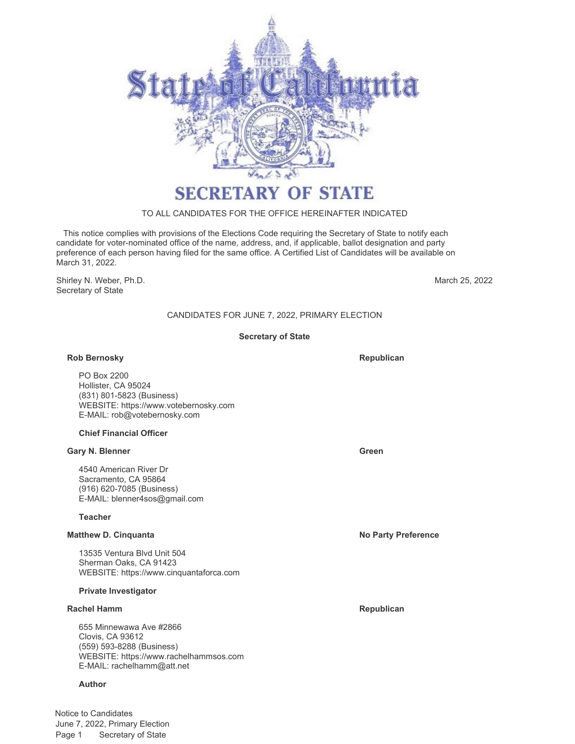

# **SECRETARY OF STATE**

## TO ALL CANDIDATES FOR THE OFFICE HEREINAFTER INDICATED

 This notice complies with provisions of the Elections Code requiring the Secretary of State to notify each candidate for voter-nominated office of the name, address, and, if applicable, ballot designation and party preference of each person having filed for the same office. A Certified List of Candidates will be available on March 31, 2022.

Shirley N. Weber, Ph.D. Secretary of State

March 25, 2022

## CANDIDATES FOR JUNE 7, 2022, PRIMARY ELECTION

## **Secretary of State**

## **Rob Bernosky Republican**

PO Box 2200 Hollister, CA 95024 (831) 801-5823 (Business) WEBSITE: https://www.votebernosky.com E-MAIL: rob@votebernosky.com

## **Chief Financial Officer**

#### **Gary N. Blenner Green**

4540 American River Dr Sacramento, CA 95864 (916) 620-7085 (Business) E-MAIL: blenner4sos@gmail.com

## **Teacher**

#### **Matthew D. Cinquanta No Party Preference**

13535 Ventura Blvd Unit 504 Sherman Oaks, CA 91423 WEBSITE: https://www.cinquantaforca.com

#### **Private Investigator**

#### **Rachel Hamm Republican**

655 Minnewawa Ave #2866 Clovis, CA 93612 (559) 593-8288 (Business) WEBSITE: https://www.rachelhammsos.com E-MAIL: rachelhamm@att.net

## **Author**

Notice to Candidates June 7, 2022, Primary Election Page 1 Secretary of State